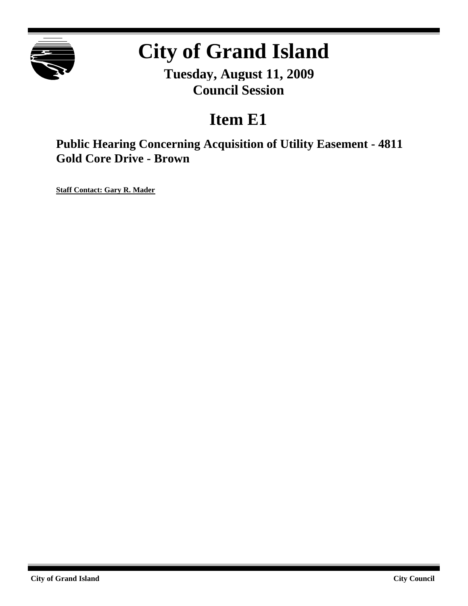

# **City of Grand Island**

**Tuesday, August 11, 2009 Council Session**

# **Item E1**

**Public Hearing Concerning Acquisition of Utility Easement - 4811 Gold Core Drive - Brown**

**Staff Contact: Gary R. Mader**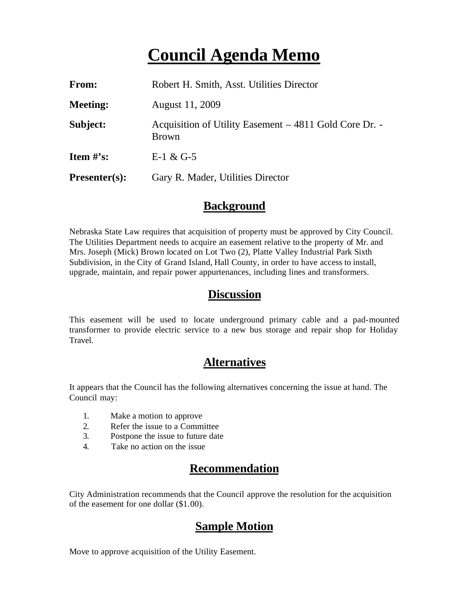## **Council Agenda Memo**

| From:           | Robert H. Smith, Asst. Utilities Director                              |
|-----------------|------------------------------------------------------------------------|
| <b>Meeting:</b> | August 11, 2009                                                        |
| Subject:        | Acquisition of Utility Easement – 4811 Gold Core Dr. -<br><b>Brown</b> |
| Item $\#$ 's:   | E-1 & G-5                                                              |
| $Presenter(s):$ | Gary R. Mader, Utilities Director                                      |

#### **Background**

Nebraska State Law requires that acquisition of property must be approved by City Council. The Utilities Department needs to acquire an easement relative to the property of Mr. and Mrs. Joseph (Mick) Brown located on Lot Two (2), Platte Valley Industrial Park Sixth Subdivision, in the City of Grand Island, Hall County, in order to have access to install, upgrade, maintain, and repair power appurtenances, including lines and transformers.

#### **Discussion**

This easement will be used to locate underground primary cable and a pad-mounted transformer to provide electric service to a new bus storage and repair shop for Holiday Travel.

#### **Alternatives**

It appears that the Council has the following alternatives concerning the issue at hand. The Council may:

- 1. Make a motion to approve
- 2. Refer the issue to a Committee
- 3. Postpone the issue to future date
- 4. Take no action on the issue

### **Recommendation**

City Administration recommends that the Council approve the resolution for the acquisition of the easement for one dollar (\$1.00).

### **Sample Motion**

Move to approve acquisition of the Utility Easement.